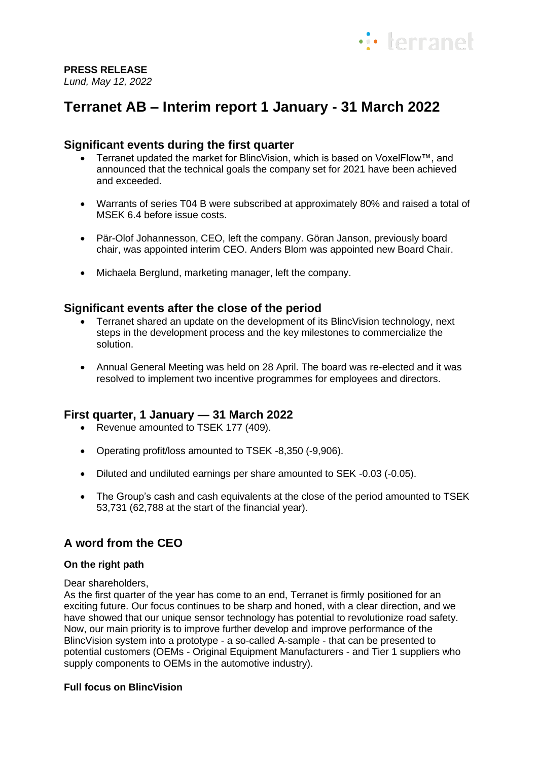

## **PRESS RELEASE**

*Lund, May 12, 2022* 

# **Terranet AB – Interim report 1 January - 31 March 2022**

## **Significant events during the first quarter**

- Terranet updated the market for BlincVision, which is based on VoxelFlow™, and announced that the technical goals the company set for 2021 have been achieved and exceeded.
- Warrants of series T04 B were subscribed at approximately 80% and raised a total of MSEK 6.4 before issue costs.
- Pär-Olof Johannesson, CEO, left the company. Göran Janson, previously board chair, was appointed interim CEO. Anders Blom was appointed new Board Chair.
- Michaela Berglund, marketing manager, left the company.

## **Significant events after the close of the period**

- Terranet shared an update on the development of its BlincVision technology, next steps in the development process and the key milestones to commercialize the solution.
- Annual General Meeting was held on 28 April. The board was re-elected and it was resolved to implement two incentive programmes for employees and directors.

## **First quarter, 1 January — 31 March 2022**

- Revenue amounted to TSEK 177 (409).
- Operating profit/loss amounted to TSEK -8,350 (-9,906).
- Diluted and undiluted earnings per share amounted to SEK -0.03 (-0.05).
- The Group's cash and cash equivalents at the close of the period amounted to TSEK 53,731 (62,788 at the start of the financial year).

## **A word from the CEO**

### **On the right path**

Dear shareholders,

As the first quarter of the year has come to an end, Terranet is firmly positioned for an exciting future. Our focus continues to be sharp and honed, with a clear direction, and we have showed that our unique sensor technology has potential to revolutionize road safety. Now, our main priority is to improve further develop and improve performance of the BlincVision system into a prototype - a so-called A-sample - that can be presented to potential customers (OEMs - Original Equipment Manufacturers - and Tier 1 suppliers who supply components to OEMs in the automotive industry).

### **Full focus on BlincVision**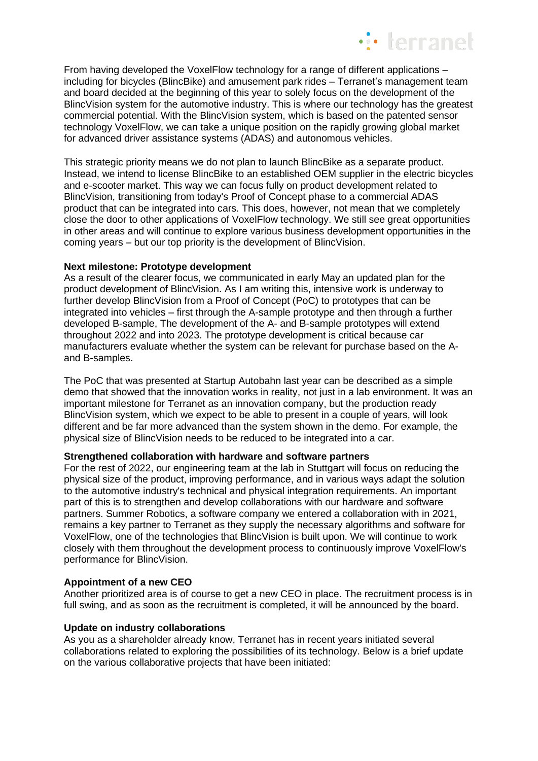

From having developed the VoxelFlow technology for a range of different applications – including for bicycles (BlincBike) and amusement park rides – Terranet's management team and board decided at the beginning of this year to solely focus on the development of the BlincVision system for the automotive industry. This is where our technology has the greatest commercial potential. With the BlincVision system, which is based on the patented sensor technology VoxelFlow, we can take a unique position on the rapidly growing global market for advanced driver assistance systems (ADAS) and autonomous vehicles.

This strategic priority means we do not plan to launch BlincBike as a separate product. Instead, we intend to license BlincBike to an established OEM supplier in the electric bicycles and e-scooter market. This way we can focus fully on product development related to BlincVision, transitioning from today's Proof of Concept phase to a commercial ADAS product that can be integrated into cars. This does, however, not mean that we completely close the door to other applications of VoxelFlow technology. We still see great opportunities in other areas and will continue to explore various business development opportunities in the coming years – but our top priority is the development of BlincVision.

#### **Next milestone: Prototype development**

As a result of the clearer focus, we communicated in early May an updated plan for the product development of BlincVision. As I am writing this, intensive work is underway to further develop BlincVision from a Proof of Concept (PoC) to prototypes that can be integrated into vehicles – first through the A-sample prototype and then through a further developed B-sample, The development of the A- and B-sample prototypes will extend throughout 2022 and into 2023. The prototype development is critical because car manufacturers evaluate whether the system can be relevant for purchase based on the Aand B-samples.

The PoC that was presented at Startup Autobahn last year can be described as a simple demo that showed that the innovation works in reality, not just in a lab environment. It was an important milestone for Terranet as an innovation company, but the production ready BlincVision system, which we expect to be able to present in a couple of years, will look different and be far more advanced than the system shown in the demo. For example, the physical size of BlincVision needs to be reduced to be integrated into a car.

#### **Strengthened collaboration with hardware and software partners**

For the rest of 2022, our engineering team at the lab in Stuttgart will focus on reducing the physical size of the product, improving performance, and in various ways adapt the solution to the automotive industry's technical and physical integration requirements. An important part of this is to strengthen and develop collaborations with our hardware and software partners. Summer Robotics, a software company we entered a collaboration with in 2021, remains a key partner to Terranet as they supply the necessary algorithms and software for VoxelFlow, one of the technologies that BlincVision is built upon. We will continue to work closely with them throughout the development process to continuously improve VoxelFlow's performance for BlincVision.

### **Appointment of a new CEO**

Another prioritized area is of course to get a new CEO in place. The recruitment process is in full swing, and as soon as the recruitment is completed, it will be announced by the board.

### **Update on industry collaborations**

As you as a shareholder already know, Terranet has in recent years initiated several collaborations related to exploring the possibilities of its technology. Below is a brief update on the various collaborative projects that have been initiated: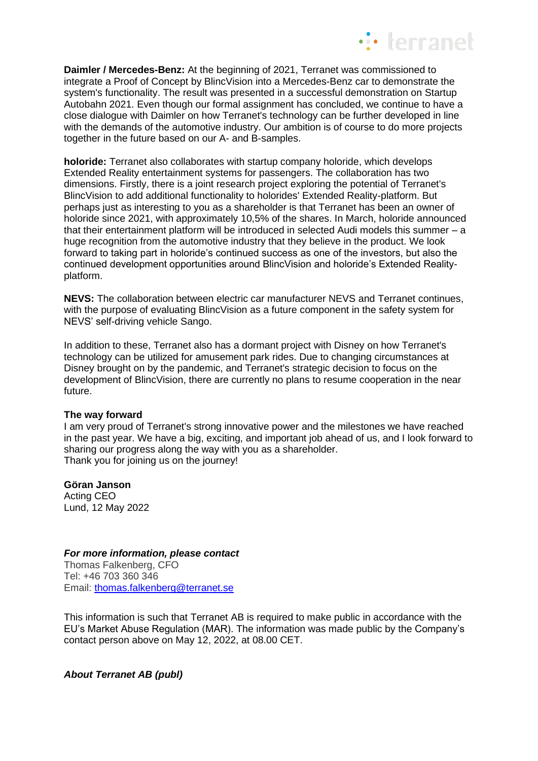

**Daimler / Mercedes-Benz:** At the beginning of 2021, Terranet was commissioned to integrate a Proof of Concept by BlincVision into a Mercedes-Benz car to demonstrate the system's functionality. The result was presented in a successful demonstration on Startup Autobahn 2021. Even though our formal assignment has concluded, we continue to have a close dialogue with Daimler on how Terranet's technology can be further developed in line with the demands of the automotive industry. Our ambition is of course to do more projects together in the future based on our A- and B-samples.

**holoride:** Terranet also collaborates with startup company holoride, which develops Extended Reality entertainment systems for passengers. The collaboration has two dimensions. Firstly, there is a joint research project exploring the potential of Terranet's BlincVision to add additional functionality to holorides' Extended Reality-platform. But perhaps just as interesting to you as a shareholder is that Terranet has been an owner of holoride since 2021, with approximately 10,5% of the shares. In March, holoride announced that their entertainment platform will be introduced in selected Audi models this summer – a huge recognition from the automotive industry that they believe in the product. We look forward to taking part in holoride's continued success as one of the investors, but also the continued development opportunities around BlincVision and holoride's Extended Realityplatform.

**NEVS:** The collaboration between electric car manufacturer NEVS and Terranet continues, with the purpose of evaluating BlincVision as a future component in the safety system for NEVS' self-driving vehicle Sango.

In addition to these, Terranet also has a dormant project with Disney on how Terranet's technology can be utilized for amusement park rides. Due to changing circumstances at Disney brought on by the pandemic, and Terranet's strategic decision to focus on the development of BlincVision, there are currently no plans to resume cooperation in the near future.

#### **The way forward**

I am very proud of Terranet's strong innovative power and the milestones we have reached in the past year. We have a big, exciting, and important job ahead of us, and I look forward to sharing our progress along the way with you as a shareholder. Thank you for joining us on the journey!

#### **Göran Janson**

Acting CEO Lund, 12 May 2022

#### *For more information, please contact*

Thomas Falkenberg, CFO Tel: +46 703 360 346 Email: [thomas.falkenberg@terranet.se](mailto:thomas.falkenberg@terranet.se)

This information is such that Terranet AB is required to make public in accordance with the EU's Market Abuse Regulation (MAR). The information was made public by the Company's contact person above on May 12, 2022, at 08.00 CET.

*About Terranet AB (publ)*